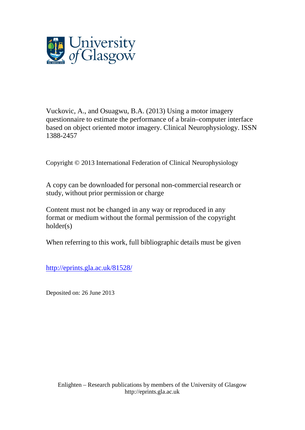

Vuckovic, A., and Osuagwu, B.A. (2013) Using a motor imagery questionnaire to estimate the performance of a brain–computer interface based on object oriented motor imagery. Clinical Neurophysiology. ISSN 1388-2457

Copyright © 2013 International Federation of Clinical Neurophysiology

A copy can be downloaded for personal non-commercial research or study, without prior permission or charge

Content must not be changed in any way or reproduced in any format or medium without the formal permission of the copyright holder(s)

When referring to this work, full bibliographic details must be given

<http://eprints.gla.ac.uk/81528/>

Deposited on: 26 June 2013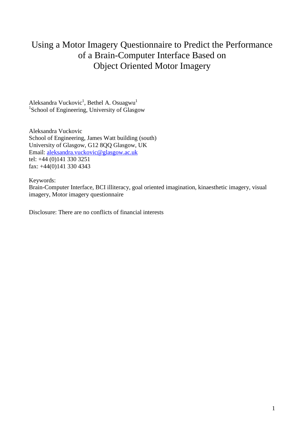# Using a Motor Imagery Questionnaire to Predict the Performance of a Brain-Computer Interface Based on Object Oriented Motor Imagery

Aleksandra Vuckovic<sup>1</sup>, Bethel A. Osuagwu<sup>1</sup> 1 School of Engineering, University of Glasgow

Aleksandra Vuckovic School of Engineering, James Watt building (south) University of Glasgow, G12 8QQ Glasgow, UK Email: aleksandra.vuckovic@glasgow.ac.uk tel: +44 (0)141 330 3251 fax: +44(0)141 330 4343

Keywords:

Brain-Computer Interface, BCI illiteracy, goal oriented imagination, kinaesthetic imagery, visual imagery, Motor imagery questionnaire

Disclosure: There are no conflicts of financial interests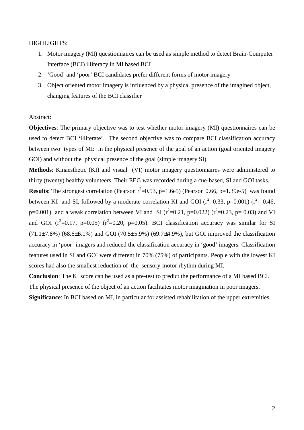#### HIGHLIGHTS:

- 1. Motor imagery (MI) questionnaires can be used as simple method to detect Brain-Computer Interface (BCI) illiteracy in MI based BCI
- 2. 'Good' and 'poor' BCI candidates prefer different forms of motor imagery
- 3. Object oriented motor imagery is influenced by a physical presence of the imagined object, changing features of the BCI classifier

#### Abstract:

**Objectives**: The primary objective was to test whether motor imagery (MI) questionnaires can be used to detect BCI 'illiterate'. The second objective was to compare BCI classification accuracy between two types of MI: in the physical presence of the goal of an action (goal oriented imagery GOI) and without the physical presence of the goal (simple imagery SI).

**Methods**: Kinaesthetic (KI) and visual (VI) motor imagery questionnaires were administered to thirty (twenty) healthy volunteers. Their EEG was recorded during a cue-based, SI and GOI tasks.

**Results**: The strongest correlation (Pearson  $r^2$ =0.53, p=1.6e5) (Pearson 0.66, p=1.39e-5) was found between KI and SI, followed by a moderate correlation KI and GOI ( $r^2$ =0.33, p=0.001) ( $r^2$ = 0.46, p=0.001) and a weak correlation between VI and SI ( $r^2$ =0.21, p=0.022) ( $r^2$ =0.23, p= 0.03) and VI and GOI  $(r^2=0.17, p=0.05)$   $(r^2=0.20, p=0.05)$ . BCI classification accuracy was similar for SI  $(71.1\pm7.8\%)$  (68.6 $\pm$ 6.1%) and GOI (70.5 $\pm$ 5.9%) (69.7 $\pm$ 4.9%), but GOI improved the classification accuracy in 'poor' imagers and reduced the classification accuracy in 'good' imagers. Classification features used in SI and GOI were different in 70% (75%) of participants. People with the lowest KI scores had also the smallest reduction of the sensory-motor rhythm during MI.

**Conclusion**: The KI score can be used as a pre-test to predict the performance of a MI based BCI. The physical presence of the object of an action facilitates motor imagination in poor imagers. **Significance**: In BCI based on MI, in particular for assisted rehabilitation of the upper extremities.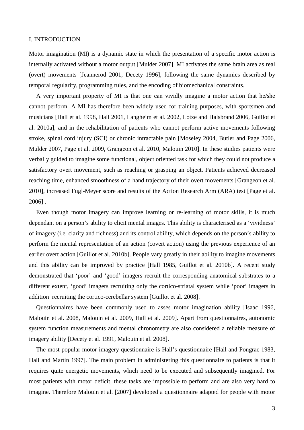# I. INTRODUCTION

Motor imagination (MI) is a dynamic state in which the presentation of a specific motor action is internally activated without a motor output [Mulder 2007]. MI activates the same brain area as real (overt) movements [Jeannerod 2001, Decety 1996], following the same dynamics described by temporal regularity, programming rules, and the encoding of biomechanical constraints.

A very important property of MI is that one can vividly imagine a motor action that he/she cannot perform. A MI has therefore been widely used for training purposes, with sportsmen and musicians [Hall et al. 1998, Hall 2001, Langheim et al. 2002, Lotze and Halsbrand 2006, Guillot et al. 2010a], and in the rehabilitation of patients who cannot perform active movements following stroke, spinal cord injury (SCI) or chronic intractable pain [Moseley 2004, Butler and Page 2006, Mulder 2007, Page et al. 2009, Grangeon et al. 2010, Malouin 2010]. In these studies patients were verbally guided to imagine some functional, object oriented task for which they could not produce a satisfactory overt movement, such as reaching or grasping an object. Patients achieved decreased reaching time, enhanced smoothness of a hand trajectory of their overt movements [Grangeon et al. 2010], increased Fugl-Meyer score and results of the Action Research Arm (ARA) test [Page et al. 2006] .

Even though motor imagery can improve learning or re-learning of motor skills, it is much dependant on a person's ability to elicit mental images. This ability is characterised as a 'vividness' of imagery (i.e. clarity and richness) and its controllability, which depends on the person's ability to perform the mental representation of an action (covert action) using the previous experience of an earlier overt action [Guillot et al. 2010b]. People vary greatly in their ability to imagine movements and this ability can be improved by practice [Hall 1985, Guillot et al. 2010b]. A recent study demonstrated that 'poor' and 'good' imagers recruit the corresponding anatomical substrates to a different extent, 'good' imagers recruiting only the cortico-striatal system while 'poor' imagers in addition recruiting the cortico-cerebellar system [Guillot et al. 2008].

Questionnaires have been commonly used to asses motor imagination ability [Isaac 1996, Malouin et al. 2008, Malouin et al. 2009, Hall et al. 2009]. Apart from questionnaires, autonomic system function measurements and mental chronometry are also considered a reliable measure of imagery ability [Decety et al. 1991, Malouin et al. 2008].

The most popular motor imagery questionnaire is Hall's questionnaire [Hall and Pongrac 1983, Hall and Martin 1997]. The main problem in administering this questionnaire to patients is that it requires quite energetic movements, which need to be executed and subsequently imagined. For most patients with motor deficit, these tasks are impossible to perform and are also very hard to imagine. Therefore Malouin et al. [2007] developed a questionnaire adapted for people with motor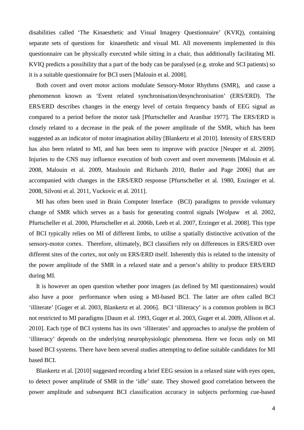disabilities called 'The Kinaesthetic and Visual Imagery Questionnaire' (KVIQ), containing separate sets of questions for kinaesthetic and visual MI. All movements implemented in this questionnaire can be physically executed while sitting in a chair, thus additionally facilitating MI. KVIQ predicts a possibility that a part of the body can be paralysed (e.g. stroke and SCI patients) so it is a suitable questionnaire for BCI users [Malouin et al. 2008].

Both covert and overt motor actions modulate Sensory-Motor Rhythms (SMR), and cause a phenomenon known as 'Event related synchronisation/desynchronisation' (ERS/ERD). The ERS/ERD describes changes in the energy level of certain frequency bands of EEG signal as compared to a period before the motor task [Pfurtscheller and Aranibar 1977]. The ERS/ERD is closely related to a decrease in the peak of the power amplitude of the SMR, which has been suggested as an indicator of motor imagination ability [Blankertz et al 2010]. Intensity of ERS/ERD has also been related to MI, and has been seen to improve with practice [Neuper et al. 2009]. Injuries to the CNS may influence execution of both covert and overt movements [Malouin et al. 2008, Malouin et al. 2009, Maulouin and Richards 2010, Butler and Page 2006] that are accompanied with changes in the ERS/ERD response [Pfurtscheller et al. 1980, Enzinger et al. 2008, Silvoni et al. 2011, Vuckovic et al. 2011].

MI has often been used in Brain Computer Interface (BCI) paradigms to provide voluntary change of SMR which serves as a basis for generating control signals [Wolpaw et al. 2002, Pfurtscheller et al. 2000, Pfurtscheller et al. 2006b, Leeb et al. 2007, Erzinger et al. 2008]. This type of BCI typically relies on MI of different limbs, to utilise a spatially distinctive activation of the sensory-motor cortex. Therefore, ultimately, BCI classifiers rely on differences in ERS/ERD over different sites of the cortex, not only on ERS/ERD itself. Inherently this is related to the intensity of the power amplitude of the SMR in a relaxed state and a person's ability to produce ERS/ERD during MI.

It is however an open question whether poor imagers (as defined by MI questionnaires) would also have a poor performance when using a MI-based BCI. The latter are often called BCI 'illiterate' [Guger et al. 2003, Blankertz et al. 2006]. BCI 'illiteracy' is a common problem in BCI not restricted to MI paradigms [Daum et al. 1993, Guger et al. 2003, Guger et al. 2009, Allison et al. 2010]. Each type of BCI systems has its own 'illiterates' and approaches to analyse the problem of 'illiteracy' depends on the underlying neurophysiologic phenomena*.* Here we focus only on MI based BCI systems. There have been several studies attempting to define suitable candidates for MI based BCI.

Blankertz et al. [2010] suggested recording a brief EEG session in a relaxed state with eyes open, to detect power amplitude of SMR in the 'idle' state. They showed good correlation between the power amplitude and subsequent BCI classification accuracy in subjects performing cue-based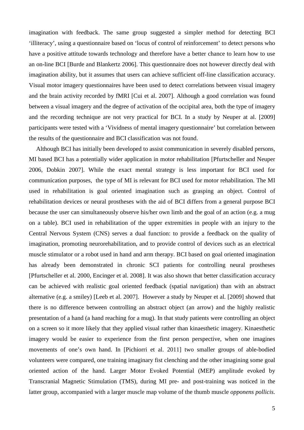imagination with feedback. The same group suggested a simpler method for detecting BCI 'illiteracy', using a questionnaire based on 'locus of control of reinforcement' to detect persons who have a positive attitude towards technology and therefore have a better chance to learn how to use an on-line BCI [Burde and Blankertz 2006]. This questionnaire does not however directly deal with imagination ability, but it assumes that users can achieve sufficient off-line classification accuracy. Visual motor imagery questionnaires have been used to detect correlations between visual imagery and the brain activity recorded by fMRI [Cui et al. 2007]. Although a good correlation was found between a visual imagery and the degree of activation of the occipital area, both the type of imagery and the recording technique are not very practical for BCI. In a study by Neuper at al. [2009] participants were tested with a 'Vividness of mental imagery questionnaire' but correlation between the results of the questionnaire and BCI classification was not found.

Although BCI has initially been developed to assist communication in severely disabled persons, MI based BCI has a potentially wider application in motor rehabilitation [Pfurtscheller and Neuper 2006, Dobkin 2007]. While the exact mental strategy is less important for BCI used for communication purposes, the type of MI is relevant for BCI used for motor rehabilitation. The MI used in rehabilitation is goal oriented imagination such as grasping an object. Control of rehabilitation devices or neural prostheses with the aid of BCI differs from a general purpose BCI because the user can simultaneously observe his/her own limb and the goal of an action (e.g. a mug on a table). BCI used in rehabilitation of the upper extremities in people with an injury to the Central Nervous System (CNS) serves a dual function: to provide a feedback on the quality of imagination, promoting neurorehabilitation, and to provide control of devices such as an electrical muscle stimulator or a robot used in hand and arm therapy. BCI based on goal oriented imagination has already been demonstrated in chronic SCI patients for controlling neural prostheses [Pfurtscheller et al. 2000, Encinger et al. 2008]. It was also shown that better classification accuracy can be achieved with realistic goal oriented feedback (spatial navigation) than with an abstract alternative (e.g. a smiley) [Leeb et al. 2007]. However a study by Neuper et al. [2009] showed that there is no difference between controlling an abstract object (an arrow) and the highly realistic presentation of a hand (a hand reaching for a mug). In that study patients were controlling an object on a screen so it more likely that they applied visual rather than kinaesthetic imagery. Kinaesthetic imagery would be easier to experience from the first person perspective, when one imagines movements of one's own hand. In [Pichiorri et al. 2011] two smaller groups of able-bodied volunteers were compared, one training imaginary fist clenching and the other imagining some goal oriented action of the hand. Larger Motor Evoked Potential (MEP) amplitude evoked by Transcranial Magnetic Stimulation (TMS), during MI pre- and post-training was noticed in the latter group, accompanied with a larger muscle map volume of the thumb muscle *opponens pollicis*.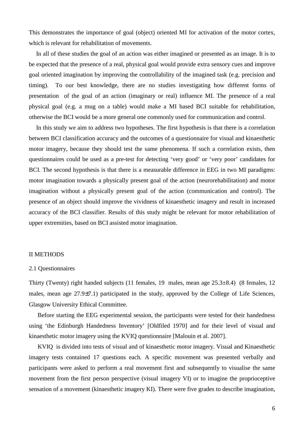This demonstrates the importance of goal (object) oriented MI for activation of the motor cortex, which is relevant for rehabilitation of movements.

In all of these studies the goal of an action was either imagined or presented as an image. It is to be expected that the presence of a real, physical goal would provide extra sensory cues and improve goal oriented imagination by improving the controllability of the imagined task (e.g. precision and timing). To our best knowledge, there are no studies investigating how different forms of presentation of the goal of an action (imaginary or real) influence MI. The presence of a real physical goal (e.g. a mug on a table) would make a MI based BCI suitable for rehabilitation, otherwise the BCI would be a more general one commonly used for communication and control.

In this study we aim to address two hypotheses. The first hypothesis is that there is a correlation between BCI classification accuracy and the outcomes of a questionnaire for visual and kinaesthetic motor imagery, because they should test the same phenomena. If such a correlation exists, then questionnaires could be used as a pre-test for detecting 'very good' or 'very poor' candidates for BCI. The second hypothesis is that there is a measurable difference in EEG in two MI paradigms: motor imagination towards a physically present goal of the action (neurorehabilitation) and motor imagination without a physically present goal of the action (communication and control). The presence of an object should improve the vividness of kinaesthetic imagery and result in increased accuracy of the BCI classifier. Results of this study might be relevant for motor rehabilitation of upper extremities, based on BCI assisted motor imagination.

# II METHODS

# 2.1 Questionnaires

Thirty (Twenty) right handed subjects (11 females, 19 males, mean age 25.3±8.4) (8 females, 12 males, mean age 27.9±7.1) participated in the study, approved by the College of Life Sciences, Glasgow University Ethical Committee.

Before starting the EEG experimental session, the participants were tested for their handedness using 'the Edinburgh Handedness Inventory' [Oldfiled 1970] and for their level of visual and kinaesthetic motor imagery using the KVIQ questionnaire [Malouin et al. 2007].

KVIQ is divided into tests of visual and of kinaesthetic motor imagery. Visual and Kinaesthetic imagery tests contained 17 questions each. A specific movement was presented verbally and participants were asked to perform a real movement first and subsequently to visualise the same movement from the first person perspective (visual imagery VI) or to imagine the proprioceptive sensation of a movement (kinaesthetic imagery KI). There were five grades to describe imagination,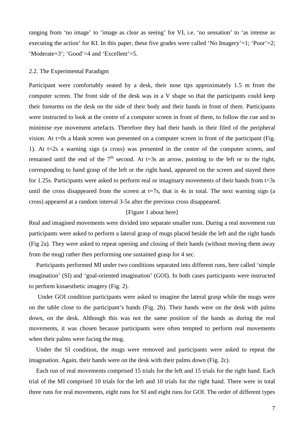ranging from 'no image' to 'image as clear as seeing' for VI, i.e. 'no sensation' to 'as intense as executing the action' for KI. In this paper, these five grades were called 'No Imagery'=1; 'Poor'=2; 'Moderate=3'; 'Good'=4 and 'Excellent'=5.

# 2.2. The Experimental Paradigm

Participant were comfortably seated by a desk, their nose tips approximately 1.5 m from the computer screen. The front side of the desk was in a V shape so that the participants could keep their forearms on the desk on the side of their body and their hands in front of them. Participants were instructed to look at the centre of a computer screen in front of them, to follow the cue and to minimise eye movement artefacts. Therefore they had their hands in their filed of the peripheral vision. At t=0s a blank screen was presented on a computer screen in front of the participant (Fig. 1). At t=2s a warning sign (a cross) was presented in the centre of the computer screen, and remained until the end of the  $7<sup>th</sup>$  second. At t=3s an arrow, pointing to the left or to the right, corresponding to hand grasp of the left or the right hand, appeared on the screen and stayed there for 1.25s. Participants were asked to perform real or imaginary movements of their hands from t=3s until the cross disappeared from the screen at  $t=7s$ , that is 4s in total. The next warning sign (a cross) appeared at a random interval 3-5s after the previous cross disappeared.

# [Figure 1 about here]

Real and imagined movements were divided into separate smaller runs. During a real movement run participants were asked to perform a lateral grasp of mugs placed beside the left and the right hands (Fig 2a). They were asked to repeat opening and closing of their hands (without moving them away from the mug) rather then performing one sustained grasp for 4 sec.

Participants performed MI under two conditions separated into different runs, here called 'simple imagination' (SI) and 'goal-oriented imagination' (GOI). In both cases participants were instructed to perform kinaesthetic imagery (Fig. 2).

 Under GOI condition participants were asked to imagine the lateral grasp while the mugs were on the table close to the participant's hands (Fig. 2b). Their hands were on the desk with palms down, on the desk. Although this was not the same position of the hands as during the real movements, it was chosen because participants were often tempted to perform real movements when their palms were facing the mug.

Under the SI condition, the mugs were removed and participants were asked to repeat the imagination. Again, their hands were on the desk with their palms down (Fig. 2c).

Each run of real movements comprised 15 trials for the left and 15 trials for the right hand. Each trial of the MI comprised 10 trials for the left and 10 trials for the right hand. There were in total three runs for real movements, eight runs for SI and eight runs for GOI. The order of different types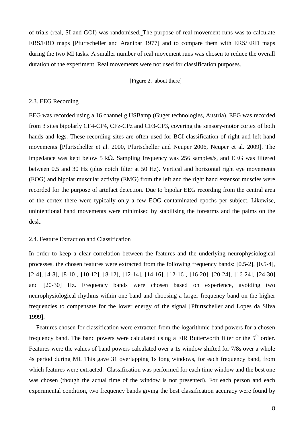of trials (real, SI and GOI) was randomised. The purpose of real movement runs was to calculate ERS/ERD maps [Pfurtscheller and Aranibar 1977] and to compare them with ERS/ERD maps during the two MI tasks. A smaller number of real movement runs was chosen to reduce the overall duration of the experiment. Real movements were not used for classification purposes.

[Figure 2. about there]

# 2.3. EEG Recording

EEG was recorded using a 16 channel g.USBamp (Guger technologies, Austria). EEG was recorded from 3 sites bipolarly CF4-CP4, CFz-CPz and CF3-CP3, covering the sensory-motor cortex of both hands and legs. These recording sites are often used for BCI classification of right and left hand movements [Pfurtscheller et al. 2000, Pfurtscheller and Neuper 2006, Neuper et al. 2009]. The impedance was kept below 5 kΩ. Sampling frequency was 256 samples/s, and EEG was filtered between 0.5 and 30 Hz (plus notch filter at 50 Hz). Vertical and horizontal right eye movements (EOG) and bipolar muscular activity (EMG) from the left and the right hand extensor muscles were recorded for the purpose of artefact detection. Due to bipolar EEG recording from the central area of the cortex there were typically only a few EOG contaminated epochs per subject. Likewise, unintentional hand movements were minimised by stabilising the forearms and the palms on the desk.

#### 2.4. Feature Extraction and Classification

In order to keep a clear correlation between the features and the underlying neurophysiological processes, the chosen features were extracted from the following frequency bands: [0.5-2], [0.5-4], [2-4], [4-8], [8-10], [10-12], [8-12], [12-14], [14-16], [12-16], [16-20], [20-24], [16-24], [24-30] and [20-30] Hz. Frequency bands were chosen based on experience, avoiding two neurophysiological rhythms within one band and choosing a larger frequency band on the higher frequencies to compensate for the lower energy of the signal [Pfurtscheller and Lopes da Silva 1999].

Features chosen for classification were extracted from the logarithmic band powers for a chosen frequency band. The band powers were calculated using a FIR Butterworth filter or the  $5<sup>th</sup>$  order. Features were the values of band powers calculated over a 1s window shifted for 7/8s over a whole 4s period during MI. This gave 31 overlapping 1s long windows, for each frequency band, from which features were extracted. Classification was performed for each time window and the best one was chosen (though the actual time of the window is not presented). For each person and each experimental condition, two frequency bands giving the best classification accuracy were found by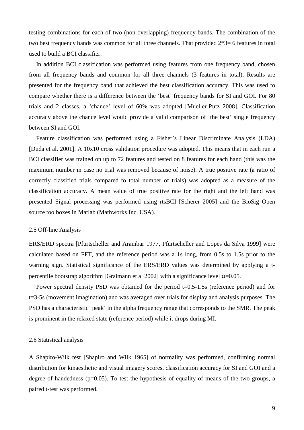testing combinations for each of two (non-overlapping) frequency bands. The combination of the two best frequency bands was common for all three channels. That provided 2\*3= 6 features in total used to build a BCI classifier.

In addition BCI classification was performed using features from one frequency band, chosen from all frequency bands and common for all three channels (3 features in total). Results are presented for the frequency band that achieved the best classification accuracy. This was used to compare whether there is a difference between the 'best' frequency bands for SI and GOI. For 80 trials and 2 classes, a 'chance' level of 60% was adopted [Mueller-Putz 2008]. Classification accuracy above the chance level would provide a valid comparison of 'the best' single frequency between SI and GOI.

Feature classification was performed using a Fisher's Linear Discriminate Analysis (LDA) [Duda et al. 2001]. A 10x10 cross validation procedure was adopted. This means that in each run a BCI classifier was trained on up to 72 features and tested on 8 features for each hand (this was the maximum number in case no trial was removed because of noise). A true positive rate (a ratio of correctly classified trials compared to total number of trials) was adopted as a measure of the classification accuracy. A mean value of true positive rate for the right and the left hand was presented Signal processing was performed using rtsBCI [Scherer 2005] and the BioSig Open source toolboxes in Matlab (Mathworks Inc, USA).

#### 2.5 Off-line Analysis

ERS/ERD spectra [Pfurtscheller and Aranibar 1977, Pfurtscheller and Lopes da Silva 1999] were calculated based on FFT, and the reference period was a 1s long, from 0.5s to 1.5s prior to the warning sign. Statistical significance of the ERS/ERD values was determined by applying a tpercentile bootstrap algorithm [Graimann et al 2002] with a significance level  $\alpha$ =0.05.

Power spectral density PSD was obtained for the period t=0.5-1.5s (reference period) and for t=3-5s (movement imagination) and was averaged over trials for display and analysis purposes. The PSD has a characteristic 'peak' in the alpha frequency range that corresponds to the SMR. The peak is prominent in the relaxed state (reference period) while it drops during MI.

#### 2.6 Statistical analysis

A Shapiro-Wilk test [Shapiro and Wilk 1965] of normality was performed, confirming normal distribution for kinaesthetic and visual imagery scores, classification accuracy for SI and GOI and a degree of handedness (p=0.05). To test the hypothesis of equality of means of the two groups, a paired t-test was performed.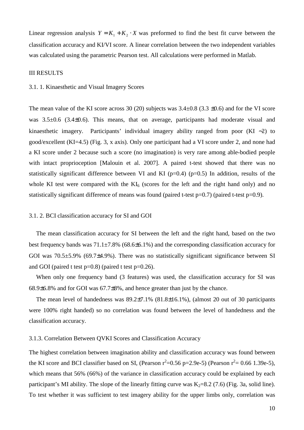Linear regression analysis  $Y = K_1 + K_2 \cdot X$  was preformed to find the best fit curve between the classification accuracy and KI/VI score. A linear correlation between the two independent variables was calculated using the parametric Pearson test. All calculations were performed in Matlab.

#### III RESULTS

#### 3.1. 1. Kinaesthetic and Visual Imagery Scores

The mean value of the KI score across 30 (20) subjects was  $3.4\pm0.8$  (3.3  $\pm0.6$ ) and for the VI score was  $3.5\pm0.6$  (3.4 $\pm$ 0.6). This means, that on average, participants had moderate visual and kinaesthetic imagery. Participants' individual imagery ability ranged from poor (KI ∼2) to good/excellent (KI=4.5) (Fig. 3, x axis). Only one participant had a VI score under 2, and none had a KI score under 2 because such a score (no imagination) is very rare among able-bodied people with intact proprioception [Malouin et al. 2007]. A paired t-test showed that there was no statistically significant difference between VI and KI ( $p=0.4$ ) ( $p=0.5$ ) In addition, results of the whole KI test were compared with the  $KI_6$  (scores for the left and the right hand only) and no statistically significant difference of means was found (paired t-test p=0.7) (paired t-test p=0.9).

#### 3.1. 2. BCI classification accuracy for SI and GOI

The mean classification accuracy for SI between the left and the right hand, based on the two best frequency bands was 71.1±7.8% (68.6±6.1%) and the corresponding classification accuracy for GOI was  $70.5\pm5.9\%$  (69.7 $\pm4.9\%$ ). There was no statistically significant significance between SI and GOI (paired t test  $p=0.8$ ) (paired t test  $p=0.26$ ).

When only one frequency band (3 features) was used, the classification accuracy for SI was 68.9±6.8% and for GOI was 67.7±8%, and hence greater than just by the chance.

The mean level of handedness was  $89.2\pm7.1\%$  ( $81.8\pm16.1\%$ ), (almost 20 out of 30 participants were 100% right handed) so no correlation was found between the level of handedness and the classification accuracy.

# 3.1.3. Correlation Between QVKI Scores and Classification Accuracy

The highest correlation between imagination ability and classification accuracy was found between the KI score and BCI classifier based on SI, (Pearson  $r^2=0.56$  p=2.9e-5) (Pearson  $r^2=0.66$  1.39e-5), which means that 56% (66%) of the variance in classification accuracy could be explained by each participant's MI ability. The slope of the linearly fitting curve was  $K_2=8.2$  (7.6) (Fig. 3a, solid line). To test whether it was sufficient to test imagery ability for the upper limbs only, correlation was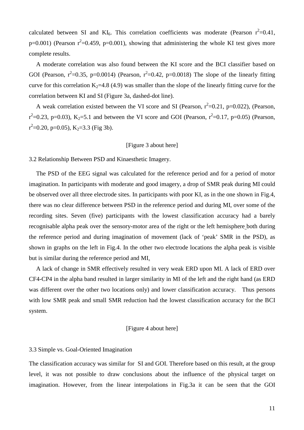calculated between SI and KI<sub>6</sub>. This correlation coefficients was moderate (Pearson  $r^2=0.41$ ,  $p=0.001$ ) (Pearson  $r^2=0.459$ ,  $p=0.001$ ), showing that administering the whole KI test gives more complete results.

A moderate correlation was also found between the KI score and the BCI classifier based on GOI (Pearson,  $r^2=0.35$ , p=0.0014) (Pearson,  $r^2=0.42$ , p=0.0018) The slope of the linearly fitting curve for this correlation  $K_2=4.8$  (4.9) was smaller than the slope of the linearly fitting curve for the correlation between KI and SI (Figure 3a, dashed-dot line).

A weak correlation existed between the VI score and SI (Pearson,  $r^2=0.21$ , p=0.022), (Pearson,  $r^2$ =0.23, p=0.03), K<sub>2</sub>=5.1 and between the VI score and GOI (Pearson,  $r^2$ =0.17, p=0.05) (Pearson,  $r^2$ =0.20, p=0.05), K<sub>2</sub>=3.3 (Fig 3b).

# [Figure 3 about here]

#### 3.2 Relationship Between PSD and Kinaesthetic Imagery.

The PSD of the EEG signal was calculated for the reference period and for a period of motor imagination. In participants with moderate and good imagery, a drop of SMR peak during MI could be observed over all three electrode sites. In participants with poor KI, as in the one shown in Fig.4, there was no clear difference between PSD in the reference period and during MI, over some of the recording sites. Seven (five) participants with the lowest classification accuracy had a barely recognisable alpha peak over the sensory-motor area of the right or the left hemisphere both during the reference period and during imagination of movement (lack of 'peak' SMR in the PSD), as shown in graphs on the left in Fig.4. In the other two electrode locations the alpha peak is visible but is similar during the reference period and MI.

A lack of change in SMR effectively resulted in very weak ERD upon MI. A lack of ERD over CF4-CP4 in the alpha band resulted in larger similarity in MI of the left and the right hand (as ERD was different over the other two locations only) and lower classification accuracy. Thus persons with low SMR peak and small SMR reduction had the lowest classification accuracy for the BCI system.

# [Figure 4 about here]

#### 3.3 Simple vs. Goal-Oriented Imagination

The classification accuracy was similar for SI and GOI. Therefore based on this result, at the group level, it was not possible to draw conclusions about the influence of the physical target on imagination. However, from the linear interpolations in Fig.3a it can be seen that the GOI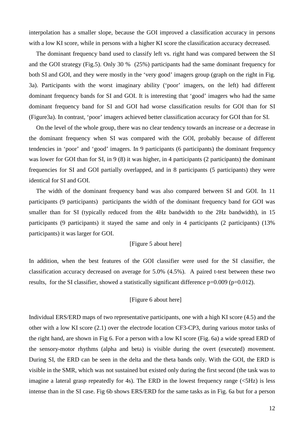interpolation has a smaller slope, because the GOI improved a classification accuracy in persons with a low KI score, while in persons with a higher KI score the classification accuracy decreased.

The dominant frequency band used to classify left vs. right hand was compared between the SI and the GOI strategy (Fig.5). Only 30 % (25%) participants had the same dominant frequency for both SI and GOI, and they were mostly in the 'very good' imagers group (graph on the right in Fig. 3a). Participants with the worst imaginary ability ('poor' imagers, on the left) had different dominant frequency bands for SI and GOI. It is interesting that 'good' imagers who had the same dominant frequency band for SI and GOI had worse classification results for GOI than for SI (Figure3a). In contrast, 'poor' imagers achieved better classification accuracy for GOI than for SI.

On the level of the whole group, there was no clear tendency towards an increase or a decrease in the dominant frequency when SI was compared with the GOI, probably because of different tendencies in 'poor' and 'good' imagers. In 9 participants (6 participants) the dominant frequency was lower for GOI than for SI, in 9 (8) it was higher, in 4 participants (2 participants) the dominant frequencies for SI and GOI partially overlapped, and in 8 participants (5 participants) they were identical for SI and GOI.

The width of the dominant frequency band was also compared between SI and GOI. In 11 participants (9 participants) participants the width of the dominant frequency band for GOI was smaller than for SI (typically reduced from the 4Hz bandwidth to the 2Hz bandwidth), in 15 participants (9 participants) it stayed the same and only in 4 participants (2 participants) (13% participants) it was larger for GOI.

# [Figure 5 about here]

In addition, when the best features of the GOI classifier were used for the SI classifier, the classification accuracy decreased on average for 5.0% (4.5%). A paired t-test between these two results, for the SI classifier, showed a statistically significant difference  $p=0.009$  ( $p=0.012$ ).

# [Figure 6 about here]

Individual ERS/ERD maps of two representative participants, one with a high KI score (4.5) and the other with a low KI score (2.1) over the electrode location CF3-CP3, during various motor tasks of the right hand, are shown in Fig 6. For a person with a low KI score (Fig. 6a) a wide spread ERD of the sensory-motor rhythms (alpha and beta) is visible during the overt (executed) movement. During SI, the ERD can be seen in the delta and the theta bands only. With the GOI, the ERD is visible in the SMR, which was not sustained but existed only during the first second (the task was to imagine a lateral grasp repeatedly for 4s). The ERD in the lowest frequency range  $\langle$  5Hz) is less intense than in the SI case. Fig 6b shows ERS/ERD for the same tasks as in Fig. 6a but for a person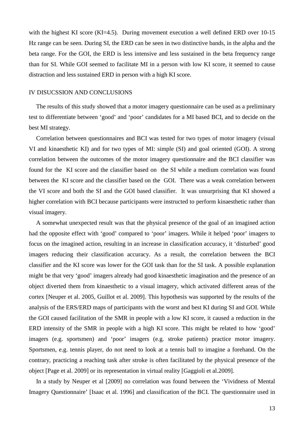with the highest KI score (KI=4.5). During movement execution a well defined ERD over 10-15 Hz range can be seen. During SI, the ERD can be seen in two distinctive bands, in the alpha and the beta range. For the GOI, the ERD is less intensive and less sustained in the beta frequency range than for SI. While GOI seemed to facilitate MI in a person with low KI score, it seemed to cause distraction and less sustained ERD in person with a high KI score.

#### IV DISUCSSION AND CONCLUSIONS

The results of this study showed that a motor imagery questionnaire can be used as a preliminary test to differentiate between 'good' and 'poor' candidates for a MI based BCI, and to decide on the best MI strategy.

Correlation between questionnaires and BCI was tested for two types of motor imagery (visual VI and kinaesthetic KI) and for two types of MI: simple (SI) and goal oriented (GOI). A strong correlation between the outcomes of the motor imagery questionnaire and the BCI classifier was found for the KI score and the classifier based on the SI while a medium correlation was found between the KI score and the classifier based on the GOI. There was a weak correlation between the VI score and both the SI and the GOI based classifier. It was unsurprising that KI showed a higher correlation with BCI because participants were instructed to perform kinaesthetic rather than visual imagery.

A somewhat unexpected result was that the physical presence of the goal of an imagined action had the opposite effect with 'good' compared to 'poor' imagers. While it helped 'poor' imagers to focus on the imagined action, resulting in an increase in classification accuracy, it 'disturbed' good imagers reducing their classification accuracy. As a result, the correlation between the BCI classifier and the KI score was lower for the GOI task than for the SI task. A possible explanation might be that very 'good' imagers already had good kinaesthetic imagination and the presence of an object diverted them from kinaesthetic to a visual imagery, which activated different areas of the cortex [Neuper et al. 2005, Guillot et al. 2009]. This hypothesis was supported by the results of the analysis of the ERS/ERD maps of participants with the worst and best KI during SI and GOI. While the GOI caused facilitation of the SMR in people with a low KI score, it caused a reduction in the ERD intensity of the SMR in people with a high KI score. This might be related to how 'good' imagers (e.g. sportsmen) and 'poor' imagers (e.g. stroke patients) practice motor imagery. Sportsmen, e.g. tennis player, do not need to look at a tennis ball to imagine a forehand. On the contrary, practicing a reaching task after stroke is often facilitated by the physical presence of the object [Page et al. 2009] or its representation in virtual reality [Gaggioli et al.2009].

In a study by Neuper et al [2009] no correlation was found between the 'Vividness of Mental Imagery Questionnaire' [Isaac et al. 1996] and classification of the BCI. The questionnaire used in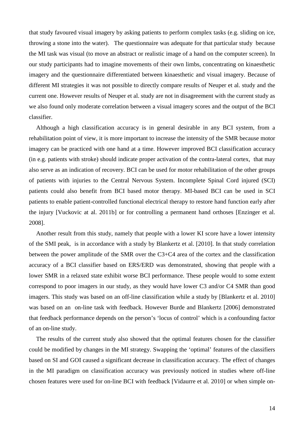that study favoured visual imagery by asking patients to perform complex tasks (e.g. sliding on ice, throwing a stone into the water). The questionnaire was adequate for that particular study because the MI task was visual (to move an abstract or realistic image of a hand on the computer screen). In our study participants had to imagine movements of their own limbs, concentrating on kinaesthetic imagery and the questionnaire differentiated between kinaesthetic and visual imagery. Because of different MI strategies it was not possible to directly compare results of Neuper et al. study and the current one. However results of Neuper et al. study are not in disagreement with the current study as we also found only moderate correlation between a visual imagery scores and the output of the BCI classifier.

Although a high classification accuracy is in general desirable in any BCI system, from a rehabilitation point of view, it is more important to increase the intensity of the SMR because motor imagery can be practiced with one hand at a time. However improved BCI classification accuracy (in e.g. patients with stroke) should indicate proper activation of the contra-lateral cortex, that may also serve as an indication of recovery. BCI can be used for motor rehabilitation of the other groups of patients with injuries to the Central Nervous System. Incomplete Spinal Cord injured (SCI) patients could also benefit from BCI based motor therapy. MI-based BCI can be used in SCI patients to enable patient-controlled functional electrical therapy to restore hand function early after the injury [Vuckovic at al. 2011b] or for controlling a permanent hand orthoses [Enzinger et al. 2008].

Another result from this study, namely that people with a lower KI score have a lower intensity of the SMI peak, is in accordance with a study by Blankertz et al. [2010]. In that study correlation between the power amplitude of the SMR over the C3+C4 area of the cortex and the classification accuracy of a BCI classifier based on ERS/ERD was demonstrated, showing that people with a lower SMR in a relaxed state exhibit worse BCI performance. These people would to some extent correspond to poor imagers in our study, as they would have lower C3 and/or C4 SMR than good imagers. This study was based on an off-line classification while a study by [Blankertz et al. 2010] was based on an on-line task with feedback. However Burde and Blankertz [2006] demonstrated that feedback performance depends on the person's 'locus of control' which is a confounding factor of an on-line study.

The results of the current study also showed that the optimal features chosen for the classifier could be modified by changes in the MI strategy. Swapping the 'optimal' features of the classifiers based on SI and GOI caused a significant decrease in classification accuracy. The effect of changes in the MI paradigm on classification accuracy was previously noticed in studies where off-line chosen features were used for on-line BCI with feedback [Vidaurre et al. 2010] or when simple on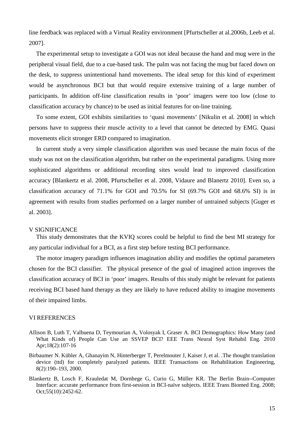line feedback was replaced with a Virtual Reality environment [Pfurtscheller at al.2006b, Leeb et al. 2007].

The experimental setup to investigate a GOI was not ideal because the hand and mug were in the peripheral visual field, due to a cue-based task. The palm was not facing the mug but faced down on the desk, to suppress unintentional hand movements. The ideal setup for this kind of experiment would be asynchronous BCI but that would require extensive training of a large number of participants. In addition off-line classification results in 'poor' imagers were too low (close to classification accuracy by chance) to be used as initial features for on-line training.

To some extent, GOI exhibits similarities to 'quasi movements' [Nikulin et al. 2008] in which persons have to suppress their muscle activity to a level that cannot be detected by EMG. Quasi movements elicit stronger ERD compared to imagination.

In current study a very simple classification algorithm was used because the main focus of the study was not on the classification algorithm, but rather on the experimental paradigms. Using more sophisticated algorithms or additional recording sites would lead to improved classification accuracy [Blankertz et al. 2008, Pfurtscheller et al. 2008, Vidaure and Blanertz 2010]. Even so, a classification accuracy of 71.1% for GOI and 70.5% for SI (69.7% GOI and 68.6% SI) is in agreement with results from studies performed on a larger number of untrained subjects [Guger et al. 2003].

#### V SIGNIFICANCE

This study demonstrates that the KVIQ scores could be helpful to find the best MI strategy for any particular individual for a BCI, as a first step before testing BCI performance.

The motor imagery paradigm influences imagination ability and modifies the optimal parameters chosen for the BCI classifier. The physical presence of the goal of imagined action improves the classification accuracy of BCI in 'poor' imagers. Results of this study might be relevant for patients receiving BCI based hand therapy as they are likely to have reduced ability to imagine movements of their impaired limbs.

# VI REFERENCES

- Allison B, Luth T, Valbuena D, Teymourian A, Volosyak I, Graser A. BCI Demographics: How Many (and What Kinds of) People Can Use an SSVEP BCI? EEE Trans Neural Syst Rehabil Eng. 2010 Apr;18(2):107-16
- Birbaumer N. Kübler A, Ghanayim N, Hinterberger T, Perelmouter J, Kaiser J, et al. .The thought translation device (ttd) for completely paralyzed patients. IEEE Transactions on Rehabilitation Engineering, 8(2):190–193, 2000.
- Blankertz B, Losch F, Krauledat M, Dornhege G, Curio G, Müller KR. The Berlin Brain--Computer Interface: accurate performance from first-session in BCI-naïve subjects. IEEE Trans Biomed Eng. 2008; Oct;55(10):2452-62.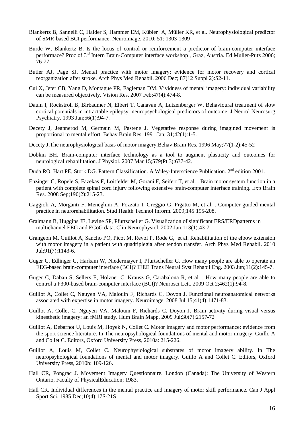- Blankertz B, Sannelli C, Halder S, Hammer EM, Kübler A, Müller KR, et al. Neurophysiological predictor of SMR-based BCI performance. Neuroimage. 2010; 51: 1303-1309
- Burde W, Blankertz B. Is the locus of control or reinforcement a predictor of brain-computer interface performace? Proc of 3rd Intern Brain-Computer interface workshop , Graz, Austria. Ed Muller-Putz 2006; 76-77.
- Butler AJ, Page SJ. Mental practice with motor imagery: evidence for motor recovery and cortical reorganization after stroke. Arch Phys Med Rehabil. 2006 Dec; 87(12 Suppl 2):S2-11.
- Cui X, Jeter CB, Yang D, Montague PR, Eagleman DM. Vividness of mental imagery: individual variability can be measured objectively. Vision Res. 2007 Feb;47(4):474-8.
- Daum I, Rockstroh B, Birbaumer N, Elbert T, Canavan A, Lutzenberger W. Behavioural treatment of slow cortical potentials in intractable epilepsy: neuropsychological predictors of outcome. J Neurol Neurosurg Psychiatry. 1993 Jan;56(1):94-7.
- Decety J, Jeannerod M, Germain M, Pastene J. Vegetative response during imagined movement is proportional to mental effort. Behav Brain Res. 1991 Jan; 31;42(1):1-5.
- Decety J.The neurophysiological basis of motor imagery.Behav Brain Res. 1996 May;77(1-2):45-52
- Dobkin BH. Brain-computer interface technology as a tool to augment plasticity and outcomes for neurological rehabilitation. J Physiol. 2007 Mar 15;579(Pt 3):637-42.
- Duda RO, Hart PE, Stork DG. Pattern Classification. A Wiley-Interscience Publication. 2<sup>nd</sup> edition 2001.
- Enzinger C, Ropele S, Fazekas F, Loitfelder M, Gorani F, Seifert T, et al. . Brain motor system function in a patient with complete spinal cord injury following extensive brain-computer interface training. Exp Brain Res. 2008 Sep;190(2):215-23.
- Gaggioli A, Morganti F, Meneghini A, Pozzato I, Greggio G, Pigatto M, et al. . Computer-guided mental practice in neurorehabilitation. Stud Health Technol Inform. 2009;145:195-208.
- Graimann B, Huggins JE, Levine SP, Pfurtscheller G. Visualization of significant ERS/ERDpatterns in multichannel EEG and ECoG data. Clin Neurophysiol. 2002 Jan;113(1):43-7.
- Grangeon M, Guillot A, Sancho PO, Picot M, Revol P, Rode G, et al. Rehabilitation of the elbow extension with motor imagery in a patient with quadriplegia after tendon transfer. Arch Phys Med Rehabil. 2010 Jul;91(7):1143-6.
- Guger C, Edlinger G, Harkam W, Niedermayer I, Pfurtscheller G. How many people are able to operate an EEG-based brain-computer interface (BCI)? IEEE Trans Neural Syst Rehabil Eng. 2003 Jun;11(2):145-7.
- Guger C, Daban S, Sellers E, Holzner C, Krausz G, Carabalona R, et al. . How many people are able to control a P300-based brain-computer interface (BCI)? Neurosci Lett. 2009 Oct 2;462(1):94-8.
- Guillot A, Collet C, Nguyen VA, Malouin F, Richards C, Doyon J. Functional neuroanatomical networks associated with expertise in motor imagery. Neuroimage. 2008 Jul 15;41(4):1471-83.
- Guillot A, Collet C, Nguyen VA, Malouin F, Richards C, Doyon J. Brain activity during visual versus kinesthetic imagery: an fMRI study. Hum Brain Mapp. 2009 Jul;30(7):2157-72
- Guillot A, Debarnot U, Louis M, Hoyek N, Collet C. Motor imagery and motor performance: evidence from the sport science literature. In The neuropsyhological foundations of mental and motor imagery. Guillo A and Collet C. Editors, Oxford University Press, 2010a: 215-226.
- Guillot A, Louis M, Collet C. Neurophysiological substrates of motor imagery ability. In The neuropsyhological foundations of mental and motor imagery. Guillo A and Collet C. Editors, Oxford University Press, 2010b: 109-126.
- Hall CR, Pongrac J. Movement Imagery Questionnaire. London (Canada): The University of Western Ontario, Faculty of PhysicalEducation; 1983.
- Hall CR. Individual differences in the mental practice and imagery of motor skill performance. Can J Appl Sport Sci. 1985 Dec;10(4):17S-21S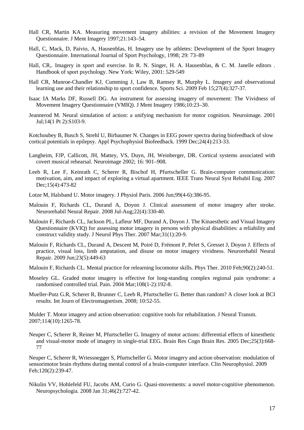- Hall CR, Martin KA. Measuring movement imagery abilities: a revision of the Movement Imagery Questionnaire. J Ment Imagery 1997;21:143–54.
- Hall, C, Mack, D, Paivio, A, Hausenblas, H. Imagery use by athletes: Development of the Sport Imagery Questionnaire. International Journal of Sport Psychology, 1998; 29: 73–89
- Hall, CR,. Imagery in sport and exercise. In R. N. Singer, H. A. Hausenblas, & C. M. Janelle editors . Handbook of sport psychology. New York: Wiley, 2001: 529-549
- Hall CR, Munroe-Chandler KJ, Cumming J, Law B, Ramsey R, Murphy L. Imagery and observational learning use and their relationship to sport confidence. Sports Sci. 2009 Feb 15;27(4):327-37.
- Isaac IA Marks DF, Russell DG. An instrument for assessing imagery of movement: The Vividness of Movement Imagery Questionnaire (VMIQ). J Ment Imagery 1986;10:23–30.
- Jeannerod M. Neural simulation of action: a unifying mechanism for motor cognition. Neuroimage. 2001 Jul;14(1 Pt 2):S103-9.
- Kotchoubey B, Busch S, Strehl U, Birbaumer N. Changes in EEG power spectra during biofeedback of slow cortical potentials in epilepsy. Appl Psychophysiol Biofeedback. 1999 Dec;24(4):213-33.
- Langheim, FJP, Callicott, JH, Mattey, VS, Duyn, JH, Weinberger, DR. Cortical systems associated with covert musical rehearsal. Neuroimage 2002; 16: 901–908.
- Leeb R, Lee F, Keinrath C, Scherer R, Bischof H, Pfurtscheller G. Brain-computer communication: motivation, aim, and impact of exploring a virtual apartment. IEEE Trans Neural Syst Rehabil Eng. 2007 Dec;15(4):473-82
- Lotze M, Halsband U. Motor imagery. J Physiol Paris. 2006 Jun;99(4-6):386-95.
- Malouin F, Richards CL, Durand A, Doyon J. Clinical assessment of motor imagery after stroke. Neurorehabil Neural Repair. 2008 Jul-Aug;22(4):330-40.
- Malouin F, Richards CL, Jackson PL, Lafleur MF, Durand A, Doyon J. The Kinaesthetic and Visual Imagery Questionnaire (KVIQ) for assessing motor imagery in persons with physical disabilities: a reliability and construct validity study. J Neurol Phys Ther. 2007 Mar;31(1):20-9.
- Malouin F, Richards CL, Durand A, Descent M, Poiré D, Frémont P, Pelet S, Gresset J, Doyon J. Effects of practice, visual loss, limb amputation, and disuse on motor imagery vividness. Neurorehabil Neural Repair. 2009 Jun;23(5):449-63
- Malouin F, Richards CL. Mental practice for relearning locomotor skills. Phys Ther. 2010 Feb;90(2):240-51.
- Moseley GL. Graded motor imagery is effective for long-standing complex regional pain syndrome: a randomised controlled trial. Pain. 2004 Mar;108(1-2):192-8.
- Mueller-Putz G.R, Scherer R, Brunner C, Leeb R, Pfurtscheller G. Better than random? A closer look at BCI results. Int Journ of Electromagnetism. 2008; 10:52-55.

Mulder T. Motor imagery and action observation: cognitive tools for rehabilitation. J Neural Transm. 2007;114(10):1265-78.

Neuper C, Scherer R, Reiner M, Pfurtscheller G. Imagery of motor actions: differential effects of kinesthetic and visual-motor mode of imagery in single-trial EEG. Brain Res Cogn Brain Res. 2005 Dec;25(3):668- 77

Neuper C, Scherer R, Wriessnegger S, Pfurtscheller G. Motor imagery and action observation: modulation of sensorimotor brain rhythms during mental control of a brain-computer interface. Clin Neurophysiol. 2009 Feb;120(2):239-47.

Nikulin VV, Hohlefeld FU, Jacobs AM, Curio G. Quasi-movements: a novel motor-cognitive phenomenon. Neuropsychologia. 2008 Jan 31;46(2):727-42.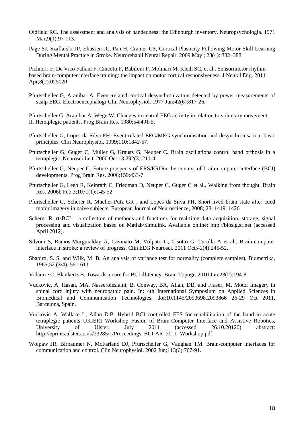- Oldfield RC. The assessment and analysis of handedness: the Edinburgh inventory. Neuropsychologia. 1971 Mar; 9(1): 97-113.
- Page SJ, Szaflarski JP, Eliassen JC, Pan H, Cramer CS, Cortical Plasticity Following Motor Skill Learning During Mental Practice in Stroke. Neurorehabil Neural Repair. 2009 May ; 23(4): 382–388

Pichiorri F, De Vico Fallani F, Cincotti F, Babiloni F, Molinari M, Kleih SC, et al.. Sensorimotor rhythmbased brain-computer interface training: the impact on motor cortical responsiveness. J Neural Eng. 2011 Apr;8(2):025020

Pfurtscheller G, Aranibar A. Event-related cortical desynchronization detected by power measurements of scalp EEG. Electroencephalogr Clin Neurophysiol. 1977 Jun;42(6):817-26.

Pfurtscheller G, Aranibar A, Wege W. Changes in central EEG activity in relation to voluntary movement. II. Hemiplegic patients. Prog Brain Res. 1980;54:491-5.

- Pfurtscheller G, Lopes da Silva FH. Event-related EEG/MEG synchronisation and desynchronisation: basic principles. Clin Neurophysiol. 1999;110:1842-57.
- Pfurtscheller G, Guger C, Müller G, Krausz G, Neuper C. Brain oscillations control hand orthosis in a tetraplegic. Neurosci Lett. 2000 Oct 13;292(3):211-4
- Pfurtscheller G, Neuper C. Future prospects of ERS/ERDin the context of brain-computer interface (BCI) developments. Prog Brain Res. 2006;159:433-7
- Pfurtscheller G, Leeb R, Keinrath C, Friedman D, Neuper C, Guger C et al.. Walking from thought. Brain Res. 2006b Feb 3;1071(1):145-52.
- Pfurtscheller G, Scherer R, Mueller-Putz GR , and Lopes da Silva FH, Short-lived brain state after cued motor imagery in naive subjects, European Journal of Neuroscience, 2008; 28: 1419–1426
- Scherer R. rtsBCI a collection of methods and functions for real-time data acquisition, storage, signal processing and visualization based on Matlab/Simulink. Available online: http://biosig.sf.net (accessed April 2012).
- Silvoni S, Ramos-Murguialday A, Cavinato M, Volpato C, Cisotto G, Turolla A et al.. Brain-computer interface in stroke: a review of progress. Clin EEG Neurosci. 2011 Oct;42(4):245-52.
- Shapiro, S. S. and Wilk, M. B. An analysis of variance test for normality (complete samples), Biometrika, 1965;52 (3/4): 591-611
- Vidaurre C, Blankertz B. Towards a cure for BCI illiteracy. Brain Topogr. 2010 Jun;23(2):194-8.
- Vuckovic, A, Hasan, MA, Nasseroleslami, B, Conway, BA, Allan, DB, and Fraser, M. Motor imagery in spinal cord injury with neuropathic pain. In: 4th International Symposium on Applied Sciences in Biomedical and Communication Technologies, doi:10.1145/2093698.2093866 26-29 Oct 2011, Barcelona, Spain.
- Vuckovic A, Wallace L, Allan D.B. Hybrid BCI controlled FES for rehabilitation of the hand in acute tetraplegic patients UKIERI Workshop Fusion of Brain-Computer Interface and Assistive Robotics, University of Ulster, July 2011 (accessed 26.10.20120) abstract: http://eprints.ulster.ac.uk/23285/1/Proceedings\_BCI-AR\_2011\_Workshop.pdf.
- Wolpaw JR, Birbaumer N, McFarland DJ, Pfurtscheller G, Vaughan TM. Brain-computer interfaces for communication and control. Clin Neurophysiol. 2002 Jun;113(6):767-91.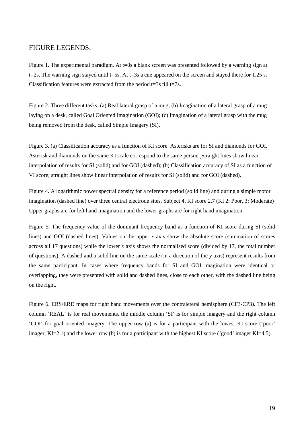# FIGURE LEGENDS:

Figure 1. The experimental paradigm. At t=0s a blank screen was presented followed by a warning sign at t=2s. The warning sign stayed until t=5s. At t=3s a cue appeared on the screen and stayed there for 1.25 s. Classification features were extracted from the period  $t=3s$  till  $t=7s$ .

Figure 2. Three different tasks: (a) Real lateral grasp of a mug; (b) Imagination of a lateral grasp of a mug laying on a desk, called Goal Oriented Imagination (GOI); (c) Imagination of a lateral grasp with the mug being removed from the desk, called Simple Imagery (SI).

Figure 3. (a) Classification accuracy as a function of KI score. Asterisks are for SI and diamonds for GOI. Asterisk and diamonds on the same KI scale correspond to the same person. Straight lines show linear interpolation of results for SI (solid) and for GOI (dashed); (b) Classification accuracy of SI as a function of VI score; straight lines show linear interpolation of results for SI (solid) and for GOI (dashed).

Figure 4. A logarithmic power spectral density for a reference period (solid line) and during a simple motor imagination (dashed line) over three central electrode sites, Subject 4, KI score 2.7 (KI 2: Poor, 3: Moderate) Upper graphs are for left hand imagination and the lower graphs are for right hand imagination.

Figure 5. The frequency value of the dominant frequency band as a function of KI score during SI (solid lines) and GOI (dashed lines). Values on the upper *x* axis show the absolute score (summation of scores across all 17 questions) while the lower *x* axis shows the normalised score (divided by 17, the total number of questions). A dashed and a solid line on the same scale (in a direction of the y axis) represent results from the same participant. In cases where frequency bands for SI and GOI imagination were identical or overlapping, they were presented with solid and dashed lines, close to each other, with the dashed line being on the right.

Figure 6. ERS/ERD maps for right hand movements over the contraleteral hemisphere (CF3-CP3). The left column 'REAL' is for real movements, the middle column 'SI' is for simple imagery and the right column 'GOI' for goal oriented imagery. The upper row (a) is for a participant with the lowest KI score ('poor' imager, KI=2.1) and the lower row (b) is for a participant with the highest KI score ('good' imager KI=4.5).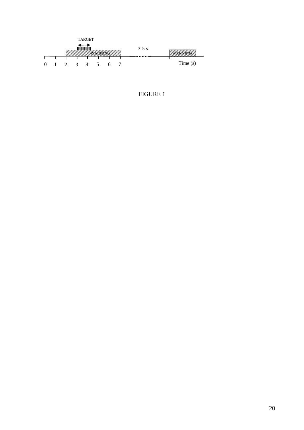

# FIGURE 1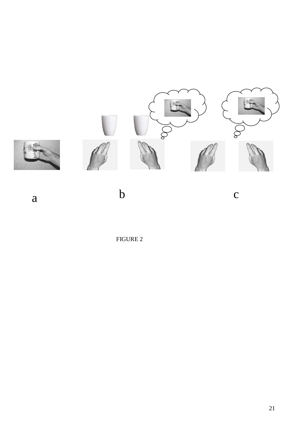

a

 $\mathbf b$  c

FIGURE 2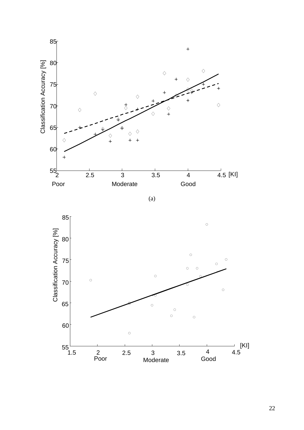

(a)

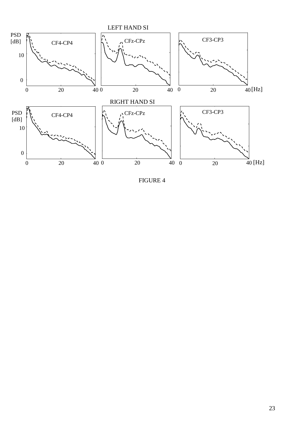

FIGURE 4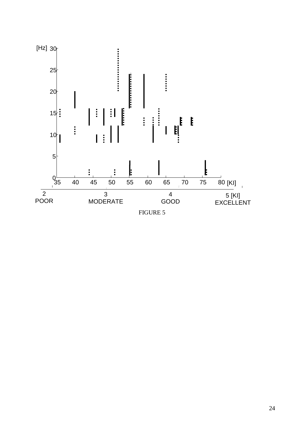